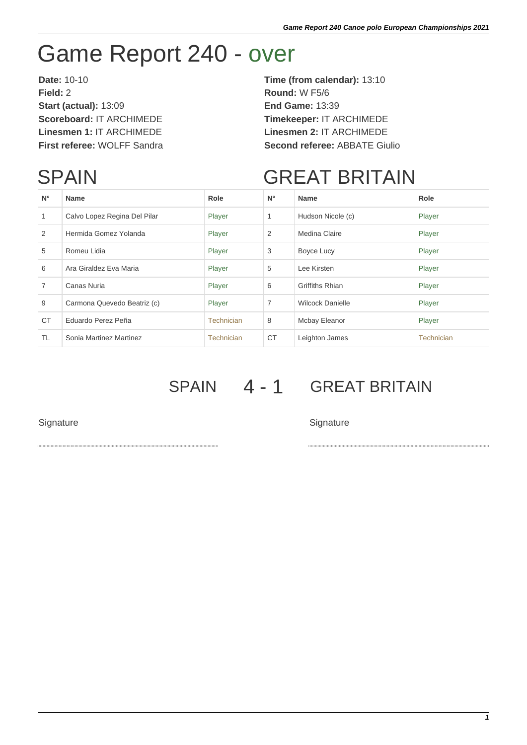## Game Report 240 - over

**Date:** 10-10 **Time (from calendar):** 13:10 **Field:** 2 **Round:** W F5/6 **Start (actual):** 13:09 **End Game:** 13:39 **Scoreboard:** IT ARCHIMEDE **Timekeeper:** IT ARCHIMEDE **Linesmen 1:** IT ARCHIMEDE **Linesmen 2:** IT ARCHIMEDE

## **SPAIN**

**First referee:** WOLFF Sandra **Second referee:** ABBATE Giulio

## GREAT BRITAIN

| $N^{\circ}$    | <b>Name</b>                  | Role       | $N^{\circ}$    | <b>Name</b>             | Role              |
|----------------|------------------------------|------------|----------------|-------------------------|-------------------|
| 1              | Calvo Lopez Regina Del Pilar | Player     | 1              | Hudson Nicole (c)       | Player            |
| 2              | Hermida Gomez Yolanda        | Player     | 2              | Medina Claire           | Player            |
| 5              | Romeu Lidia                  | Player     | 3              | Boyce Lucy              | Player            |
| 6              | Ara Giraldez Eva Maria       | Player     | 5              | Lee Kirsten             | Player            |
| $\overline{7}$ | Canas Nuria                  | Player     | 6              | Griffiths Rhian         | Player            |
| 9              | Carmona Quevedo Beatriz (c)  | Player     | $\overline{7}$ | <b>Wilcock Danielle</b> | Player            |
| <b>CT</b>      | Eduardo Perez Peña           | Technician | 8              | Mcbay Eleanor           | Player            |
| TL.            | Sonia Martinez Martinez      | Technician | <b>CT</b>      | Leighton James          | <b>Technician</b> |

SPAIN 4 - 1 GREAT BRITAIN

Signature Signature Signature Signature Signature Signature Signature Signature Signature Signature Signature Signature Signature Signature Signature Signature Signature Signature Signature Signature Signature Signature Si